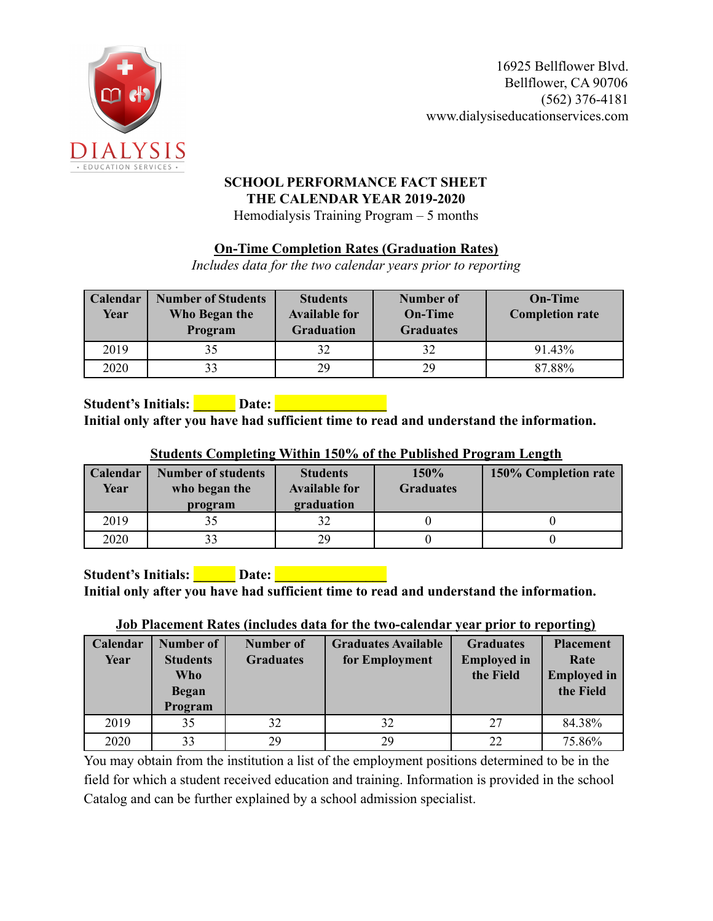

#### **SCHOOL PERFORMANCE FACT SHEET THE CALENDAR YEAR 2019-2020** Hemodialysis Training Program – 5 months

### **On-Time Completion Rates (Graduation Rates)**

*Includes data for the two calendar years prior to reporting*

| Calendar<br>Year | <b>Number of Students</b><br>Who Began the<br>Program | <b>Students</b><br><b>Available for</b><br><b>Graduation</b> | Number of<br><b>On-Time</b><br><b>Graduates</b> | <b>On-Time</b><br><b>Completion rate</b> |
|------------------|-------------------------------------------------------|--------------------------------------------------------------|-------------------------------------------------|------------------------------------------|
| 2019             |                                                       |                                                              | 32                                              | 91.43%                                   |
| 2020             |                                                       | 29                                                           | 29                                              | 87.88%                                   |

**Student's Initials: \_\_\_\_\_\_ Date: \_\_\_\_\_\_\_\_\_\_\_\_\_\_\_\_ Initial only after you have had sufficient time to read and understand the information.**

| <b>Calendar</b><br>Year | <b>Number of students</b><br>who began the<br>program | <b>Students</b><br><b>Available for</b><br>graduation | 150%<br><b>Graduates</b> | 150% Completion rate |
|-------------------------|-------------------------------------------------------|-------------------------------------------------------|--------------------------|----------------------|
| 2019                    |                                                       |                                                       |                          |                      |
| 2020                    | 33                                                    | 29                                                    |                          |                      |

**Student's Initials: \_\_\_\_\_\_ Date: \_\_\_\_\_\_\_\_\_\_\_\_\_\_\_\_ Initial only after you have had sufficient time to read and understand the information.**

#### **Job Placement Rates (includes data for the two-calendar year prior to reporting)**

| Calendar<br>Year | <b>Number of</b><br><b>Students</b><br>Who<br><b>Began</b><br>Program | Number of<br><b>Graduates</b> | <b>Graduates Available</b><br>for Employment | <b>Graduates</b><br><b>Employed</b> in<br>the Field | <b>Placement</b><br>Rate<br><b>Employed</b> in<br>the Field |
|------------------|-----------------------------------------------------------------------|-------------------------------|----------------------------------------------|-----------------------------------------------------|-------------------------------------------------------------|
| 2019             | 35                                                                    | 32                            | 32                                           | 27                                                  | 84.38%                                                      |
| 2020             | 33                                                                    | 29                            | 29                                           | 22                                                  | 75.86%                                                      |

You may obtain from the institution a list of the employment positions determined to be in the field for which a student received education and training. Information is provided in the school Catalog and can be further explained by a school admission specialist.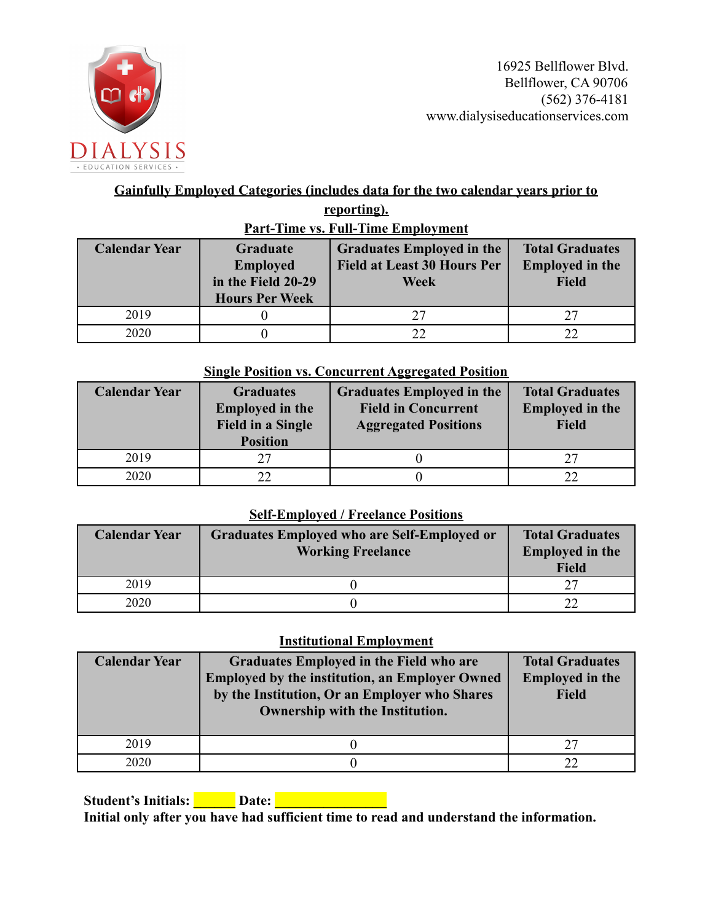

## **Gainfully Employed Categories (includes data for the two calendar years prior to reporting).**

| <b>Part-Time vs. Full-Time Employment</b>                                                                 |  |                                                                                       |                                                                  |  |  |  |  |
|-----------------------------------------------------------------------------------------------------------|--|---------------------------------------------------------------------------------------|------------------------------------------------------------------|--|--|--|--|
| <b>Calendar Year</b><br><b>Graduate</b><br><b>Employed</b><br>in the Field 20-29<br><b>Hours Per Week</b> |  | <b>Graduates Employed in the</b><br><b>Field at Least 30 Hours Per</b><br><b>Week</b> | <b>Total Graduates</b><br><b>Employed in the</b><br><b>Field</b> |  |  |  |  |
| 2019                                                                                                      |  | 27                                                                                    | 27                                                               |  |  |  |  |
| 2020                                                                                                      |  |                                                                                       |                                                                  |  |  |  |  |

#### **Single Position vs. Concurrent Aggregated Position**

| <b>Calendar Year</b> | <b>Graduates</b><br><b>Employed in the</b><br><b>Field in a Single</b><br><b>Position</b> | <b>Graduates Employed in the</b><br><b>Field in Concurrent</b><br><b>Aggregated Positions</b> | <b>Total Graduates</b><br><b>Employed in the</b><br><b>Field</b> |  |
|----------------------|-------------------------------------------------------------------------------------------|-----------------------------------------------------------------------------------------------|------------------------------------------------------------------|--|
| 2019                 | つフ                                                                                        |                                                                                               | 27                                                               |  |
| 2020                 |                                                                                           |                                                                                               |                                                                  |  |

### **Self-Employed / Freelance Positions**

| <b>Calendar Year</b> | Graduates Employed who are Self-Employed or<br><b>Working Freelance</b> | <b>Total Graduates</b><br><b>Employed in the</b><br><b>Field</b> |
|----------------------|-------------------------------------------------------------------------|------------------------------------------------------------------|
| 2019                 |                                                                         | つつ                                                               |
| 2020                 |                                                                         | າາ                                                               |

#### **Institutional Employment**

| <b>Calendar Year</b> | <b>Graduates Employed in the Field who are</b><br><b>Employed by the institution, an Employer Owned</b><br>by the Institution, Or an Employer who Shares<br>Ownership with the Institution. | <b>Total Graduates</b><br><b>Employed in the</b><br><b>Field</b> |
|----------------------|---------------------------------------------------------------------------------------------------------------------------------------------------------------------------------------------|------------------------------------------------------------------|
| 2019                 |                                                                                                                                                                                             | 27                                                               |
| 2020                 |                                                                                                                                                                                             |                                                                  |

**Student's Initials: \_\_\_\_\_\_ Date: \_\_\_\_\_\_\_\_\_\_\_\_\_\_\_\_ Initial only after you have had sufficient time to read and understand the information.**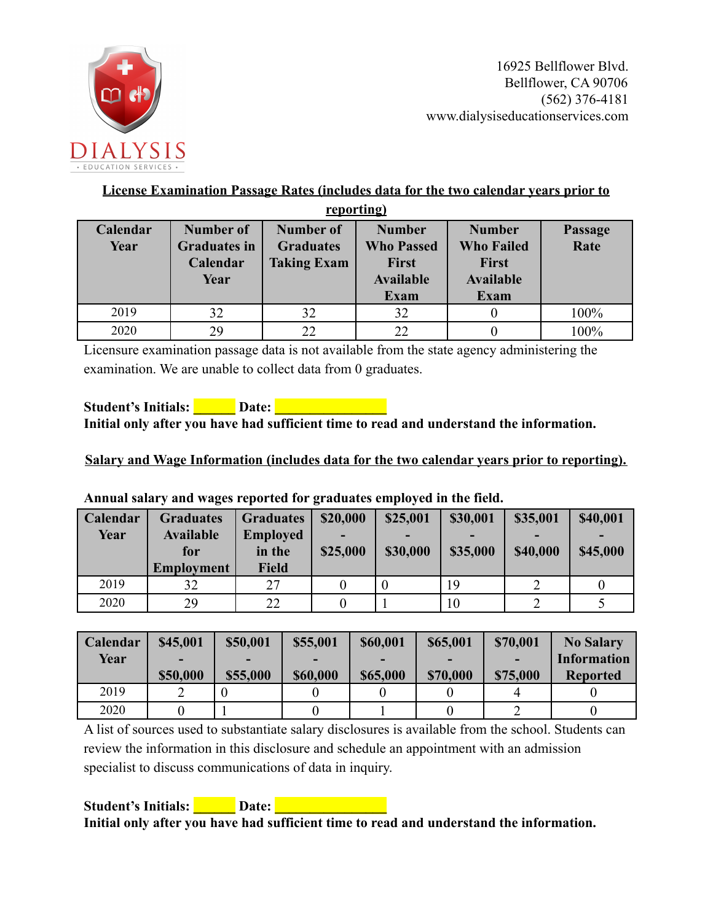

### **License Examination Passage Rates (includes data for the two calendar years prior to**

| reporting)       |                                                      |                                                            |                                                                                       |                                                                                |                        |  |  |
|------------------|------------------------------------------------------|------------------------------------------------------------|---------------------------------------------------------------------------------------|--------------------------------------------------------------------------------|------------------------|--|--|
| Calendar<br>Year | Number of<br><b>Graduates in</b><br>Calendar<br>Year | <b>Number of</b><br><b>Graduates</b><br><b>Taking Exam</b> | <b>Number</b><br><b>Who Passed</b><br><b>First</b><br><b>Available</b><br><b>Exam</b> | <b>Number</b><br><b>Who Failed</b><br><b>First</b><br><b>Available</b><br>Exam | <b>Passage</b><br>Rate |  |  |
| 2019             | 32                                                   | 32                                                         | 32                                                                                    |                                                                                | 100%                   |  |  |
| 2020             | 29                                                   | 22                                                         | 22                                                                                    |                                                                                | 100%                   |  |  |

Licensure examination passage data is not available from the state agency administering the examination. We are unable to collect data from 0 graduates.

**Student's Initials: \_\_\_\_\_\_ Date: \_\_\_\_\_\_\_\_\_\_\_\_\_\_\_\_ Initial only after you have had sufficient time to read and understand the information.**

**Salary and Wage Information (includes data for the two calendar years prior to reporting).**

**Calendar Year Graduates Available for Employment Graduates Employed in the Field \$20,000 - \$25,000 \$25,001 - \$30,000 \$30,001 - \$35,000 \$35,001 - \$40,000 \$40,001 - \$45,000** 2019 | 32 | 27 | 0 | 0 | 19 | 2 | 0 2020 | 29 | 22 | 0 | 1 | 10 | 2 | 5

**Annual salary and wages reported for graduates employed in the field.**

| Calendar | \$45,001 | \$50,001 | \$55,001 | \$60,001 | \$65,001 | \$70,001 | <b>No Salary</b>   |
|----------|----------|----------|----------|----------|----------|----------|--------------------|
| Year     |          |          |          |          |          |          | <b>Information</b> |
|          | \$50,000 | \$55,000 | \$60,000 | \$65,000 | \$70,000 | \$75,000 | <b>Reported</b>    |
| 2019     |          |          |          |          |          |          |                    |
| 2020     |          |          |          |          |          |          |                    |

A list of sources used to substantiate salary disclosures is available from the school. Students can review the information in this disclosure and schedule an appointment with an admission specialist to discuss communications of data in inquiry.

**Student's Initials: \_\_\_\_\_\_ Date: \_\_\_\_\_\_\_\_\_\_\_\_\_\_\_\_ Initial only after you have had sufficient time to read and understand the information.**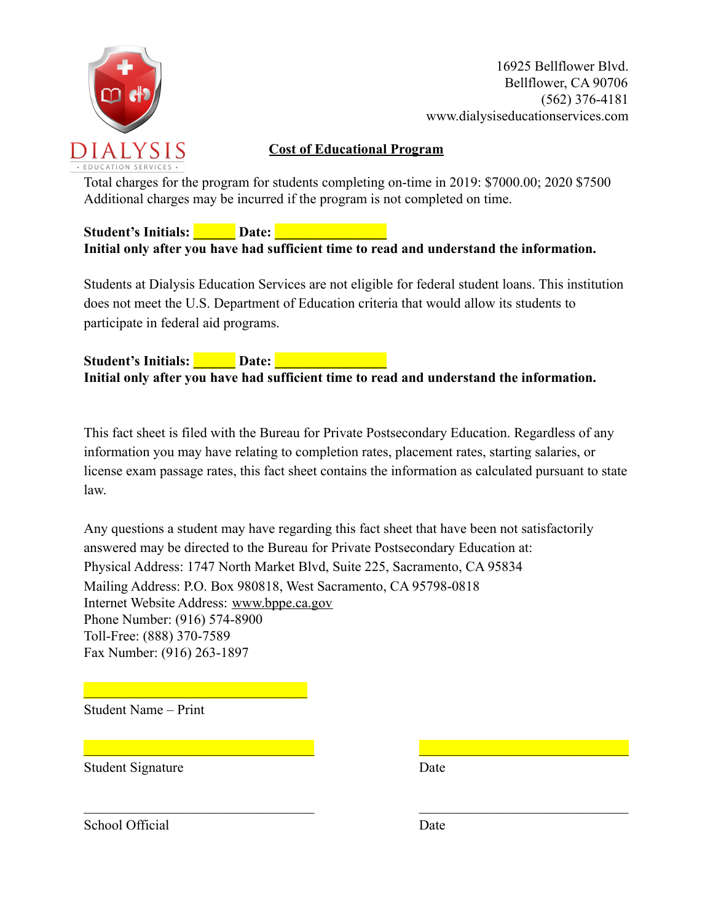

16925 Bellflower Blvd. Bellflower, CA 90706 (562) 376-4181 www.dialysiseducationservices.com

## **Cost of Educational Program**

Total charges for the program for students completing on-time in 2019: \$7000.00; 2020 \$7500 Additional charges may be incurred if the program is not completed on time.

**Student's Initials: \_\_\_\_\_\_ Date: \_\_\_\_\_\_\_\_\_\_\_\_\_\_\_\_ Initial only after you have had sufficient time to read and understand the information.**

Students at Dialysis Education Services are not eligible for federal student loans. This institution does not meet the U.S. Department of Education criteria that would allow its students to participate in federal aid programs.

**Student's Initials: \_\_\_\_\_\_ Date: \_\_\_\_\_\_\_\_\_\_\_\_\_\_\_\_ Initial only after you have had sufficient time to read and understand the information.**

This fact sheet is filed with the Bureau for Private Postsecondary Education. Regardless of any information you may have relating to completion rates, placement rates, starting salaries, or license exam passage rates, this fact sheet contains the information as calculated pursuant to state law.

Any questions a student may have regarding this fact sheet that have been not satisfactorily answered may be directed to the Bureau for Private Postsecondary Education at: Physical Address: 1747 North Market Blvd, Suite 225, Sacramento, CA 95834 Mailing Address: P.O. Box 980818, West Sacramento, CA 95798-0818 Internet Website Address: [www.bppe.ca.gov](http://www.bppe.ca.gov/) Phone Number: (916) 574-8900 Toll-Free: (888) 370-7589 Fax Number: (916) 263-1897

 $\mathcal{L}_\mathcal{L} = \mathcal{L}_\mathcal{L} = \mathcal{L}_\mathcal{L} = \mathcal{L}_\mathcal{L} = \mathcal{L}_\mathcal{L} = \mathcal{L}_\mathcal{L} = \mathcal{L}_\mathcal{L} = \mathcal{L}_\mathcal{L} = \mathcal{L}_\mathcal{L} = \mathcal{L}_\mathcal{L} = \mathcal{L}_\mathcal{L} = \mathcal{L}_\mathcal{L} = \mathcal{L}_\mathcal{L} = \mathcal{L}_\mathcal{L} = \mathcal{L}_\mathcal{L} = \mathcal{L}_\mathcal{L} = \mathcal{L}_\mathcal{L}$ 

 $\mathcal{L}_\text{max} = \frac{1}{2} \sum_{i=1}^n \mathcal{L}_\text{max}(\mathbf{x}_i - \mathbf{y}_i)$ 

Student Name – Print

 $\mathcal{L}_\text{max}$  and  $\mathcal{L}_\text{max}$  and  $\mathcal{L}_\text{max}$ 

Student Signature Date

School Official Date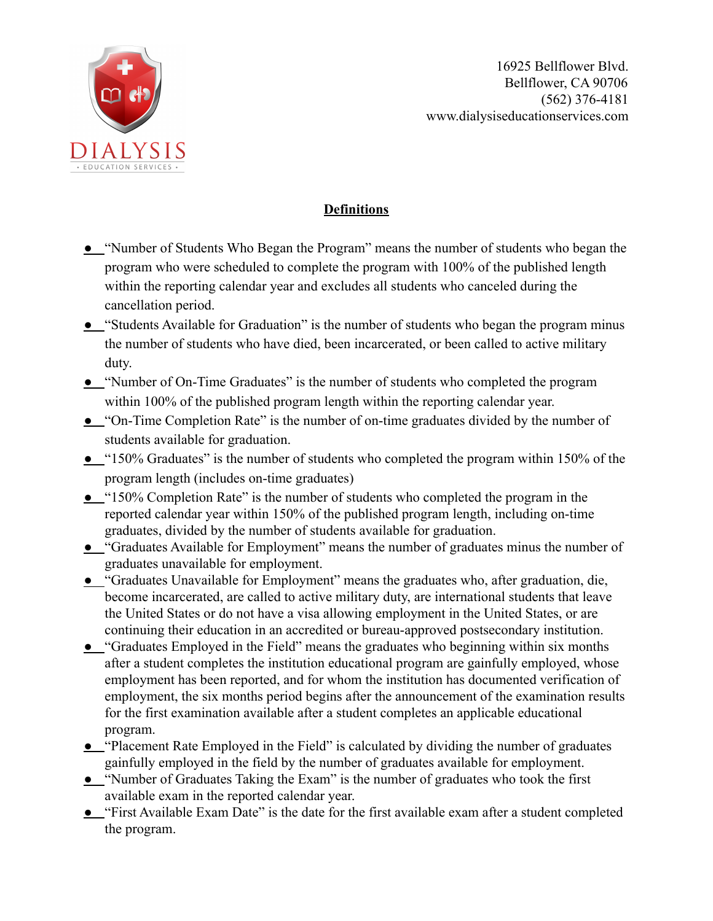

## **Definitions**

- **●** "Number of Students Who Began the Program" means the number of students who began the program who were scheduled to complete the program with 100% of the published length within the reporting calendar year and excludes all students who canceled during the cancellation period.
- **●** "Students Available for Graduation" is the number of students who began the program minus the number of students who have died, been incarcerated, or been called to active military duty.
- **●** "Number of On-Time Graduates" is the number of students who completed the program within 100% of the published program length within the reporting calendar year.
- **●** "On-Time Completion Rate" is the number of on-time graduates divided by the number of students available for graduation.
- **●** "150% Graduates" is the number of students who completed the program within 150% of the program length (includes on-time graduates)
- **●** "150% Completion Rate" is the number of students who completed the program in the reported calendar year within 150% of the published program length, including on-time graduates, divided by the number of students available for graduation.
- **●** "Graduates Available for Employment" means the number of graduates minus the number of graduates unavailable for employment.
- **●** "Graduates Unavailable for Employment" means the graduates who, after graduation, die, become incarcerated, are called to active military duty, are international students that leave the United States or do not have a visa allowing employment in the United States, or are continuing their education in an accredited or bureau-approved postsecondary institution.
- **●** "Graduates Employed in the Field" means the graduates who beginning within six months after a student completes the institution educational program are gainfully employed, whose employment has been reported, and for whom the institution has documented verification of employment, the six months period begins after the announcement of the examination results for the first examination available after a student completes an applicable educational program.
- **●** "Placement Rate Employed in the Field" is calculated by dividing the number of graduates gainfully employed in the field by the number of graduates available for employment.
- **●** "Number of Graduates Taking the Exam" is the number of graduates who took the first available exam in the reported calendar year.
- **•** "First Available Exam Date" is the date for the first available exam after a student completed the program.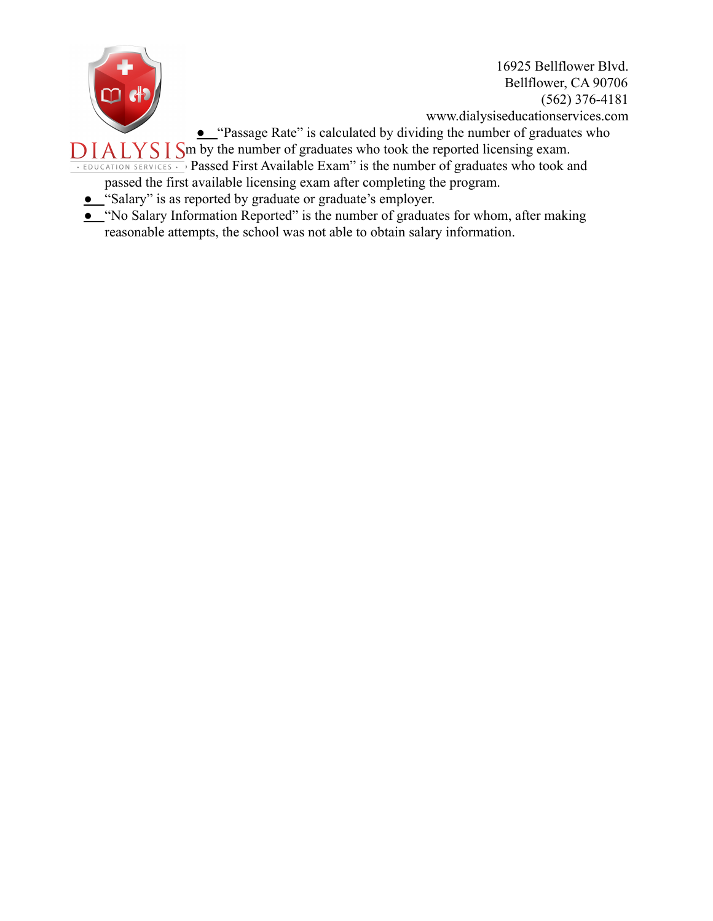

16925 Bellflower Blvd. Bellflower, CA 90706 (562) 376-4181 www.dialysiseducationservices.com

**●** "Passage Rate" is calculated by dividing the number of graduates who

 $DIALYSISm$  by the number of graduates who took the reported licensing exam.

**EXAMPLE TO TO PASSED FIRST Available Exam" is the number of graduates who took and** passed the first available licensing exam after completing the program.

- **●** "Salary" is as reported by graduate or graduate's employer.
- **●** "No Salary Information Reported" is the number of graduates for whom, after making reasonable attempts, the school was not able to obtain salary information.